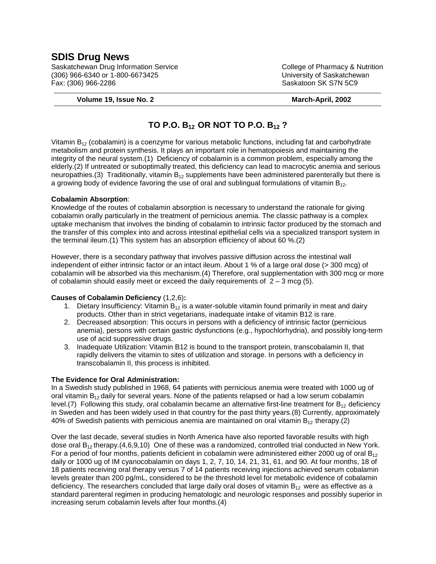# **SDIS Drug News**

Saskatchewan Drug Information Service College of Pharmacy & Nutrition (306) 966-6340 or 1-800-6673425 University of Saskatchewan Fax: (306) 966-2286 Saskatoon SK S7N 5C9

#### **Volume 19, Issue No. 2 March-April, 2002**

# **TO P.O. B12 OR NOT TO P.O. B12 ?**

Vitamin  $B_{12}$  (cobalamin) is a coenzyme for various metabolic functions, including fat and carbohydrate metabolism and protein synthesis. It plays an important role in hematopoiesis and maintaining the integrity of the neural system.(1) Deficiency of cobalamin is a common problem, especially among the elderly.(2) If untreated or suboptimally treated, this deficiency can lead to macrocytic anemia and serious neuropathies.(3) Traditionally, vitamin  $B_{12}$  supplements have been administered parenterally but there is a growing body of evidence favoring the use of oral and sublingual formulations of vitamin  $B_{12}$ .

### **Cobalamin Absorption**:

Knowledge of the routes of cobalamin absorption is necessary to understand the rationale for giving cobalamin orally particularly in the treatment of pernicious anemia. The classic pathway is a complex uptake mechanism that involves the binding of cobalamin to intrinsic factor produced by the stomach and the transfer of this complex into and across intestinal epithelial cells via a specialized transport system in the terminal ileum.(1) This system has an absorption efficiency of about 60 %.(2)

However, there is a secondary pathway that involves passive diffusion across the intestinal wall independent of either intrinsic factor or an intact ileum. About 1 % of a large oral dose (> 300 mcg) of cobalamin will be absorbed via this mechanism.(4) Therefore, oral supplementation with 300 mcg or more of cobalamin should easily meet or exceed the daily requirements of  $2 - 3 \text{ mcg}$  (5).

### **Causes of Cobalamin Deficiency** (1,2,6)**:**

- 1. Dietary Insufficiency: Vitamin  $B_{12}$  is a water-soluble vitamin found primarily in meat and dairy products. Other than in strict vegetarians, inadequate intake of vitamin B12 is rare.
- 2. Decreased absorption: This occurs in persons with a deficiency of intrinsic factor (pernicious anemia), persons with certain gastric dysfunctions (e.g., hypochlorhydria), and possibly long-term use of acid suppressive drugs.
- 3. Inadequate Utilization: Vitamin B12 is bound to the transport protein, transcobalamin II, that rapidly delivers the vitamin to sites of utilization and storage. In persons with a deficiency in transcobalamin II, this process is inhibited.

### **The Evidence for Oral Administration:**

In a Swedish study published in 1968, 64 patients with pernicious anemia were treated with 1000 ug of oral vitamin  $B_{12}$  daily for several years. None of the patients relapsed or had a low serum cobalamin level.(7) Following this study, oral cobalamin became an alternative first-line treatment for  $B_{12}$  deficiency in Sweden and has been widely used in that country for the past thirty years.(8) Currently, approximately 40% of Swedish patients with pernicious anemia are maintained on oral vitamin  $B_{12}$  therapy.(2)

Over the last decade, several studies in North America have also reported favorable results with high dose oral  $B_{12}$  therapy.(4,6,9,10) One of these was a randomized, controlled trial conducted in New York. For a period of four months, patients deficient in cobalamin were administered either 2000 ug of oral  $B_{12}$ daily or 1000 ug of IM cyanocobalamin on days 1, 2, 7, 10, 14, 21, 31, 61, and 90. At four months, 18 of 18 patients receiving oral therapy versus 7 of 14 patients receiving injections achieved serum cobalamin levels greater than 200 pg/mL, considered to be the threshold level for metabolic evidence of cobalamin deficiency. The researchers concluded that large daily oral doses of vitamin  $B_{12}$  were as effective as a standard parenteral regimen in producing hematologic and neurologic responses and possibly superior in increasing serum cobalamin levels after four months.(4)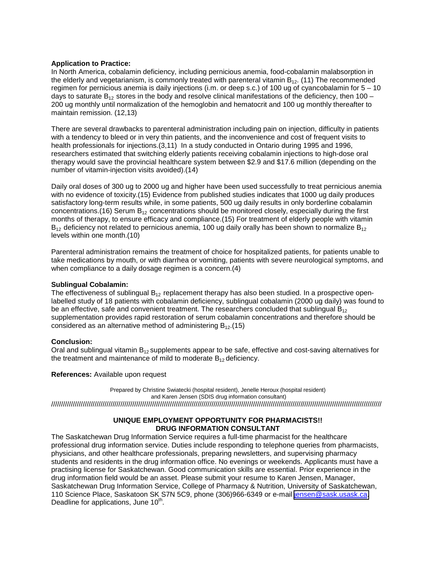### **Application to Practice:**

In North America, cobalamin deficiency, including pernicious anemia, food-cobalamin malabsorption in the elderly and vegetarianism, is commonly treated with parenteral vitamin  $B_{12}$ . (11) The recommended regimen for pernicious anemia is daily injections (i.m. or deep s.c.) of 100 ug of cyancobalamin for 5 – 10 days to saturate  $B_{12}$  stores in the body and resolve clinical manifestations of the deficiency, then 100 – 200 ug monthly until normalization of the hemoglobin and hematocrit and 100 ug monthly thereafter to maintain remission. (12,13)

There are several drawbacks to parenteral administration including pain on injection, difficulty in patients with a tendency to bleed or in very thin patients, and the inconvenience and cost of frequent visits to health professionals for injections.  $(3,11)$  In a study conducted in Ontario during 1995 and 1996, researchers estimated that switching elderly patients receiving cobalamin injections to high-dose oral therapy would save the provincial healthcare system between \$2.9 and \$17.6 million (depending on the number of vitamin-injection visits avoided).(14)

Daily oral doses of 300 ug to 2000 ug and higher have been used successfully to treat pernicious anemia with no evidence of toxicity.(15) Evidence from published studies indicates that 1000 ug daily produces satisfactory long-term results while, in some patients, 500 ug daily results in only borderline cobalamin concentrations. (16) Serum  $B_{12}$  concentrations should be monitored closely, especially during the first months of therapy, to ensure efficacy and compliance.(15) For treatment of elderly people with vitamin  $B_{12}$  deficiency not related to pernicious anemia, 100 ug daily orally has been shown to normalize  $B_{12}$ levels within one month.(10)

Parenteral administration remains the treatment of choice for hospitalized patients, for patients unable to take medications by mouth, or with diarrhea or vomiting, patients with severe neurological symptoms, and when compliance to a daily dosage regimen is a concern.(4)

#### **Sublingual Cobalamin:**

The effectiveness of sublingual  $B_{12}$  replacement therapy has also been studied. In a prospective openlabelled study of 18 patients with cobalamin deficiency, sublingual cobalamin (2000 ug daily) was found to be an effective, safe and convenient treatment. The researchers concluded that sublingual  $B_{12}$ supplementation provides rapid restoration of serum cobalamin concentrations and therefore should be considered as an alternative method of administering  $B_{12}$ .(15)

### **Conclusion:**

Oral and sublingual vitamin  $B_{12}$  supplements appear to be safe, effective and cost-saving alternatives for the treatment and maintenance of mild to moderate  $B_{12}$  deficiency.

#### **References:** Available upon request

Prepared by Christine Swiatecki (hospital resident), Jenelle Heroux (hospital resident) and Karen Jensen (SDIS drug information consultant)

///////////////////////////////////////////////////////////////////////////////////////////////////////////////////////////////////////////////////////////////////////

## **UNIQUE EMPLOYMENT OPPORTUNITY FOR PHARMACISTS!! DRUG INFORMATION CONSULTANT**

The Saskatchewan Drug Information Service requires a full-time pharmacist for the healthcare professional drug information service. Duties include responding to telephone queries from pharmacists, physicians, and other healthcare professionals, preparing newsletters, and supervising pharmacy students and residents in the drug information office. No evenings or weekends. Applicants must have a practising license for Saskatchewan. Good communication skills are essential. Prior experience in the drug information field would be an asset. Please submit your resume to Karen Jensen, Manager, Saskatchewan Drug Information Service, College of Pharmacy & Nutrition, University of Saskatchewan, 110 Science Place, Saskatoon SK S7N 5C9, phone (306)966-6349 or e-mail [jensen@sask.usask.ca.](mailto:jensen@sask.usask.ca) Deadline for applications, June 10<sup>th</sup>.